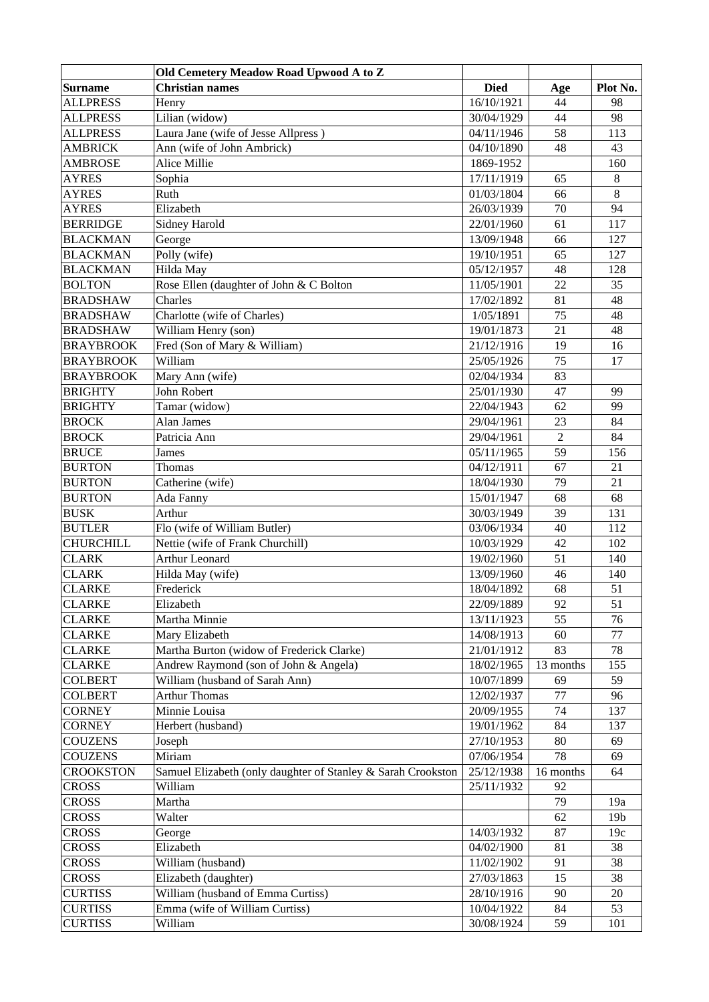|                  | Old Cemetery Meadow Road Upwood A to Z                       |             |                |                 |
|------------------|--------------------------------------------------------------|-------------|----------------|-----------------|
| Surname          | <b>Christian names</b>                                       | <b>Died</b> | Age            | Plot No.        |
| <b>ALLPRESS</b>  | Henry                                                        | 16/10/1921  | 44             | 98              |
| <b>ALLPRESS</b>  | Lilian (widow)                                               | 30/04/1929  | 44             | 98              |
| <b>ALLPRESS</b>  | Laura Jane (wife of Jesse Allpress)                          | 04/11/1946  | 58             | 113             |
| <b>AMBRICK</b>   | Ann (wife of John Ambrick)                                   | 04/10/1890  | 48             | 43              |
| <b>AMBROSE</b>   | Alice Millie                                                 | 1869-1952   |                | 160             |
| <b>AYRES</b>     | Sophia                                                       | 17/11/1919  | 65             | 8               |
| <b>AYRES</b>     | Ruth                                                         | 01/03/1804  | 66             | 8               |
| <b>AYRES</b>     | Elizabeth                                                    | 26/03/1939  | 70             | 94              |
| <b>BERRIDGE</b>  | Sidney Harold                                                | 22/01/1960  | 61             | 117             |
| <b>BLACKMAN</b>  | George                                                       | 13/09/1948  | 66             | 127             |
| <b>BLACKMAN</b>  | Polly (wife)                                                 | 19/10/1951  | 65             | 127             |
| <b>BLACKMAN</b>  | Hilda May                                                    | 05/12/1957  | 48             | 128             |
| <b>BOLTON</b>    | Rose Ellen (daughter of John & C Bolton                      | 11/05/1901  | 22             | 35              |
| <b>BRADSHAW</b>  | Charles                                                      | 17/02/1892  | 81             | 48              |
| <b>BRADSHAW</b>  | Charlotte (wife of Charles)                                  | 1/05/1891   | 75             | 48              |
| <b>BRADSHAW</b>  | William Henry (son)                                          | 19/01/1873  | 21             | 48              |
| <b>BRAYBROOK</b> | Fred (Son of Mary & William)                                 | 21/12/1916  | 19             | 16              |
| <b>BRAYBROOK</b> | William                                                      | 25/05/1926  | 75             | 17              |
| <b>BRAYBROOK</b> | Mary Ann (wife)                                              | 02/04/1934  | 83             |                 |
| <b>BRIGHTY</b>   | <b>John Robert</b>                                           | 25/01/1930  | 47             | 99              |
| <b>BRIGHTY</b>   | Tamar (widow)                                                | 22/04/1943  | 62             | 99              |
| <b>BROCK</b>     | Alan James                                                   | 29/04/1961  | 23             | 84              |
| <b>BROCK</b>     | Patricia Ann                                                 | 29/04/1961  | $\overline{2}$ | 84              |
| <b>BRUCE</b>     | James                                                        | 05/11/1965  | 59             | 156             |
| <b>BURTON</b>    | Thomas                                                       | 04/12/1911  | 67             | 21              |
| <b>BURTON</b>    | Catherine (wife)                                             | 18/04/1930  | 79             | 21              |
| <b>BURTON</b>    | Ada Fanny                                                    | 15/01/1947  | 68             | 68              |
| <b>BUSK</b>      | Arthur                                                       | 30/03/1949  | 39             | 131             |
| <b>BUTLER</b>    | Flo (wife of William Butler)                                 | 03/06/1934  | 40             | 112             |
| <b>CHURCHILL</b> | Nettie (wife of Frank Churchill)                             | 10/03/1929  | 42             | 102             |
| <b>CLARK</b>     | <b>Arthur Leonard</b>                                        | 19/02/1960  | 51             | 140             |
| <b>CLARK</b>     | Hilda May (wife)                                             | 13/09/1960  | 46             | 140             |
| <b>CLARKE</b>    | Frederick                                                    | 18/04/1892  | 68             | 51              |
| <b>CLARKE</b>    | Elizabeth                                                    | 22/09/1889  | 92             | 51              |
| <b>CLARKE</b>    | Martha Minnie                                                | 13/11/1923  | 55             | 76              |
| <b>CLARKE</b>    | Mary Elizabeth                                               | 14/08/1913  | 60             | 77              |
| <b>CLARKE</b>    | Martha Burton (widow of Frederick Clarke)                    | 21/01/1912  | 83             | 78              |
| <b>CLARKE</b>    | Andrew Raymond (son of John & Angela)                        | 18/02/1965  | 13 months      | 155             |
| <b>COLBERT</b>   | William (husband of Sarah Ann)                               | 10/07/1899  | 69             | 59              |
| <b>COLBERT</b>   | <b>Arthur Thomas</b>                                         | 12/02/1937  | 77             | 96              |
| <b>CORNEY</b>    | Minnie Louisa                                                | 20/09/1955  | 74             | 137             |
| <b>CORNEY</b>    | Herbert (husband)                                            | 19/01/1962  | 84             | 137             |
| <b>COUZENS</b>   | Joseph                                                       | 27/10/1953  | 80             | 69              |
| <b>COUZENS</b>   | Miriam                                                       | 07/06/1954  | 78             | 69              |
| CROOKSTON        | Samuel Elizabeth (only daughter of Stanley & Sarah Crookston | 25/12/1938  | 16 months      | 64              |
| <b>CROSS</b>     | William                                                      | 25/11/1932  | 92             |                 |
| CROSS            | Martha                                                       |             | 79             | 19a             |
| <b>CROSS</b>     | Walter                                                       |             | 62             | 19 <sub>b</sub> |
| <b>CROSS</b>     | George                                                       | 14/03/1932  | 87             | 19c             |
| <b>CROSS</b>     | Elizabeth                                                    | 04/02/1900  | 81             | 38              |
| <b>CROSS</b>     | William (husband)                                            | 11/02/1902  | 91             | 38              |
| <b>CROSS</b>     | Elizabeth (daughter)                                         | 27/03/1863  | 15             | 38              |
| <b>CURTISS</b>   | William (husband of Emma Curtiss)                            | 28/10/1916  | 90             | 20              |
| <b>CURTISS</b>   | Emma (wife of William Curtiss)                               | 10/04/1922  | 84             | 53              |
| <b>CURTISS</b>   | William                                                      | 30/08/1924  | 59             | 101             |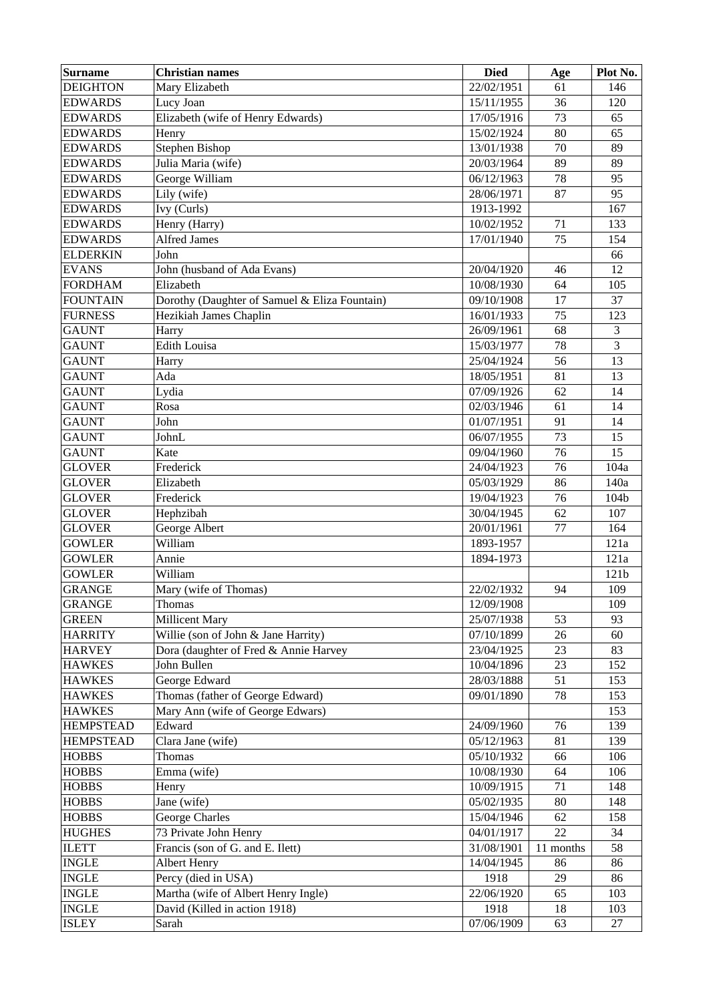| <b>Surname</b>   | <b>Christian names</b>                        | <b>Died</b> | Age       | Plot No. |
|------------------|-----------------------------------------------|-------------|-----------|----------|
| <b>DEIGHTON</b>  | Mary Elizabeth                                | 22/02/1951  | 61        | 146      |
| <b>EDWARDS</b>   | Lucy Joan                                     | 15/11/1955  | 36        | 120      |
| <b>EDWARDS</b>   | Elizabeth (wife of Henry Edwards)             | 17/05/1916  | 73        | 65       |
| <b>EDWARDS</b>   | Henry                                         | 15/02/1924  | 80        | 65       |
| <b>EDWARDS</b>   | <b>Stephen Bishop</b>                         | 13/01/1938  | 70        | 89       |
| <b>EDWARDS</b>   | Julia Maria (wife)                            | 20/03/1964  | 89        | 89       |
| <b>EDWARDS</b>   | George William                                | 06/12/1963  | 78        | 95       |
| <b>EDWARDS</b>   | Lily (wife)                                   | 28/06/1971  | 87        | 95       |
| <b>EDWARDS</b>   | Ivy (Curls)                                   | 1913-1992   |           | 167      |
| <b>EDWARDS</b>   | Henry (Harry)                                 | 10/02/1952  | 71        | 133      |
| <b>EDWARDS</b>   | Alfred James                                  | 17/01/1940  | 75        | 154      |
| <b>ELDERKIN</b>  | John                                          |             |           | 66       |
| <b>EVANS</b>     | John (husband of Ada Evans)                   | 20/04/1920  | 46        | 12       |
| <b>FORDHAM</b>   | Elizabeth                                     | 10/08/1930  | 64        | 105      |
| <b>FOUNTAIN</b>  | Dorothy (Daughter of Samuel & Eliza Fountain) | 09/10/1908  | 17        | 37       |
| <b>FURNESS</b>   | Hezikiah James Chaplin                        | 16/01/1933  | 75        | 123      |
| <b>GAUNT</b>     | Harry                                         | 26/09/1961  | 68        | 3        |
| <b>GAUNT</b>     | <b>Edith Louisa</b>                           | 15/03/1977  | 78        | 3        |
| <b>GAUNT</b>     | Harry                                         | 25/04/1924  | 56        | 13       |
| <b>GAUNT</b>     | Ada                                           | 18/05/1951  | 81        | 13       |
| <b>GAUNT</b>     | Lydia                                         | 07/09/1926  | 62        | 14       |
| <b>GAUNT</b>     | Rosa                                          | 02/03/1946  | 61        | 14       |
| <b>GAUNT</b>     | John                                          | 01/07/1951  | 91        | 14       |
| <b>GAUNT</b>     | JohnL                                         | 06/07/1955  | 73        | 15       |
| <b>GAUNT</b>     | Kate                                          | 09/04/1960  | 76        | 15       |
| <b>GLOVER</b>    | Frederick                                     | 24/04/1923  | 76        | 104a     |
| <b>GLOVER</b>    | Elizabeth                                     | 05/03/1929  | 86        | 140a     |
| <b>GLOVER</b>    | Frederick                                     | 19/04/1923  | 76        | 104b     |
| <b>GLOVER</b>    | Hephzibah                                     | 30/04/1945  | 62        | 107      |
| <b>GLOVER</b>    | George Albert                                 | 20/01/1961  | 77        | 164      |
| <b>GOWLER</b>    | William                                       | 1893-1957   |           | 121a     |
| <b>GOWLER</b>    | Annie                                         | 1894-1973   |           | 121a     |
| <b>GOWLER</b>    | William                                       |             |           | 121b     |
| <b>GRANGE</b>    | Mary (wife of Thomas)                         | 22/02/1932  | 94        | 109      |
| <b>GRANGE</b>    | Thomas                                        | 12/09/1908  |           | 109      |
| <b>GREEN</b>     | <b>Millicent Mary</b>                         | 25/07/1938  | 53        | 93       |
| <b>HARRITY</b>   | Willie (son of John & Jane Harrity)           | 07/10/1899  | 26        | 60       |
| <b>HARVEY</b>    | Dora (daughter of Fred & Annie Harvey         | 23/04/1925  | 23        | 83       |
| <b>HAWKES</b>    | John Bullen                                   | 10/04/1896  | 23        | 152      |
| <b>HAWKES</b>    | George Edward                                 | 28/03/1888  | 51        | 153      |
| <b>HAWKES</b>    | Thomas (father of George Edward)              | 09/01/1890  | 78        | 153      |
| <b>HAWKES</b>    | Mary Ann (wife of George Edwars)              |             |           | 153      |
| <b>HEMPSTEAD</b> | Edward                                        | 24/09/1960  | 76        | 139      |
| <b>HEMPSTEAD</b> | Clara Jane (wife)                             | 05/12/1963  | 81        | 139      |
| <b>HOBBS</b>     | Thomas                                        | 05/10/1932  | 66        | 106      |
| <b>HOBBS</b>     | Emma (wife)                                   | 10/08/1930  | 64        | 106      |
| <b>HOBBS</b>     | Henry                                         | 10/09/1915  | 71        | 148      |
| <b>HOBBS</b>     | Jane (wife)                                   | 05/02/1935  | 80        | 148      |
| <b>HOBBS</b>     | George Charles                                | 15/04/1946  | 62        | 158      |
| <b>HUGHES</b>    | 73 Private John Henry                         | 04/01/1917  | 22        | 34       |
| <b>ILETT</b>     | Francis (son of G. and E. Ilett)              | 31/08/1901  | 11 months | 58       |
| <b>INGLE</b>     | Albert Henry                                  | 14/04/1945  | 86        | 86       |
| <b>INGLE</b>     | Percy (died in USA)                           | 1918        | 29        | 86       |
| <b>INGLE</b>     | Martha (wife of Albert Henry Ingle)           | 22/06/1920  | 65        | 103      |
| <b>INGLE</b>     | David (Killed in action 1918)                 | 1918        | 18        | 103      |
| <b>ISLEY</b>     | Sarah                                         | 07/06/1909  | 63        | 27       |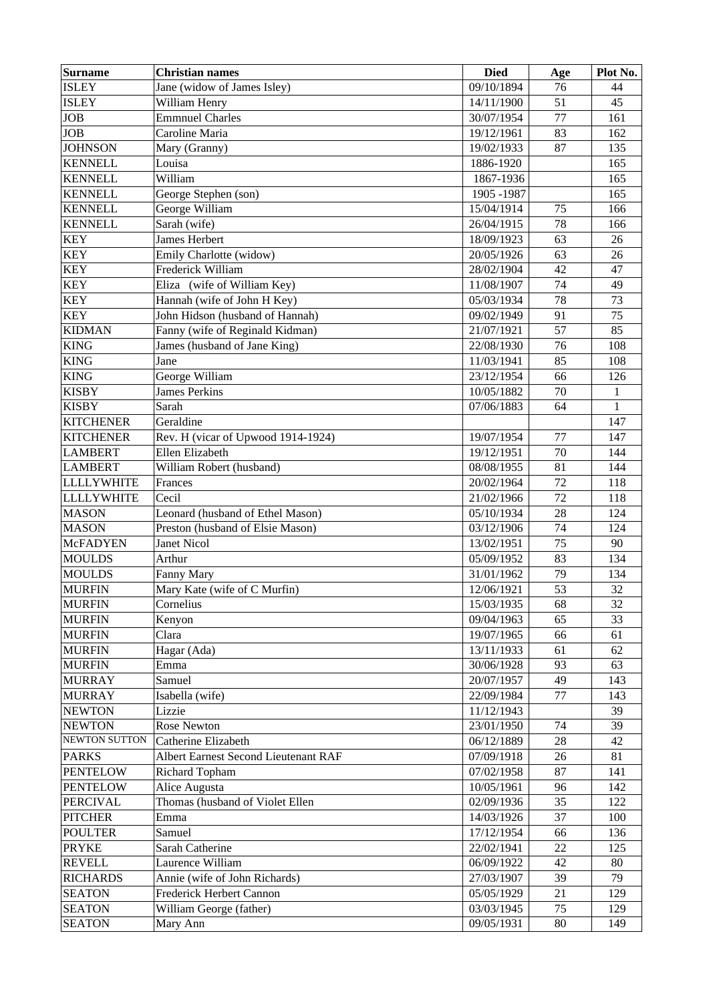| <b>Surname</b>    | <b>Christian names</b>               | <b>Died</b> | Age | Plot No.     |
|-------------------|--------------------------------------|-------------|-----|--------------|
| <b>ISLEY</b>      | Jane (widow of James Isley)          | 09/10/1894  | 76  | 44           |
| <b>ISLEY</b>      | William Henry                        | 14/11/1900  | 51  | 45           |
| <b>JOB</b>        | <b>Emmnuel Charles</b>               | 30/07/1954  | 77  | 161          |
| <b>JOB</b>        | Caroline Maria                       | 19/12/1961  | 83  | 162          |
| <b>JOHNSON</b>    | Mary (Granny)                        | 19/02/1933  | 87  | 135          |
| <b>KENNELL</b>    | Louisa                               | 1886-1920   |     | 165          |
| <b>KENNELL</b>    | William                              | 1867-1936   |     | 165          |
| <b>KENNELL</b>    | George Stephen (son)                 | 1905 - 1987 |     | 165          |
| <b>KENNELL</b>    | George William                       | 15/04/1914  | 75  | 166          |
| <b>KENNELL</b>    | Sarah (wife)                         | 26/04/1915  | 78  | 166          |
| <b>KEY</b>        | James Herbert                        | 18/09/1923  | 63  | 26           |
| <b>KEY</b>        | Emily Charlotte (widow)              | 20/05/1926  | 63  | 26           |
| <b>KEY</b>        | Frederick William                    | 28/02/1904  | 42  | 47           |
| <b>KEY</b>        | Eliza (wife of William Key)          | 11/08/1907  | 74  | 49           |
| <b>KEY</b>        | Hannah (wife of John H Key)          | 05/03/1934  | 78  | 73           |
| <b>KEY</b>        | John Hidson (husband of Hannah)      | 09/02/1949  | 91  | 75           |
| <b>KIDMAN</b>     | Fanny (wife of Reginald Kidman)      | 21/07/1921  | 57  | 85           |
| <b>KING</b>       | James (husband of Jane King)         | 22/08/1930  | 76  | 108          |
| <b>KING</b>       | Jane                                 | 11/03/1941  | 85  | 108          |
| <b>KING</b>       | George William                       | 23/12/1954  | 66  | 126          |
| <b>KISBY</b>      | <b>James Perkins</b>                 | 10/05/1882  | 70  | $\mathbf 1$  |
| <b>KISBY</b>      | Sarah                                | 07/06/1883  | 64  | $\mathbf{1}$ |
| <b>KITCHENER</b>  | Geraldine                            |             |     | 147          |
| <b>KITCHENER</b>  | Rev. H (vicar of Upwood 1914-1924)   | 19/07/1954  | 77  | 147          |
| <b>LAMBERT</b>    | Ellen Elizabeth                      | 19/12/1951  | 70  | 144          |
| <b>LAMBERT</b>    | William Robert (husband)             | 08/08/1955  | 81  | 144          |
| <b>LLLLYWHITE</b> | Frances                              | 20/02/1964  | 72  | 118          |
| <b>LLLLYWHITE</b> | Cecil                                | 21/02/1966  | 72  | 118          |
| <b>MASON</b>      | Leonard (husband of Ethel Mason)     | 05/10/1934  | 28  | 124          |
| <b>MASON</b>      | Preston (husband of Elsie Mason)     | 03/12/1906  | 74  | 124          |
| <b>McFADYEN</b>   | <b>Janet Nicol</b>                   | 13/02/1951  | 75  | 90           |
| <b>MOULDS</b>     | Arthur                               | 05/09/1952  | 83  | 134          |
| <b>MOULDS</b>     | Fanny Mary                           | 31/01/1962  | 79  | 134          |
| <b>MURFIN</b>     | Mary Kate (wife of C Murfin)         | 12/06/1921  | 53  | 32           |
| <b>MURFIN</b>     | Cornelius                            | 15/03/1935  | 68  | 32           |
| <b>MURFIN</b>     | Kenyon                               | 09/04/1963  | 65  | 33           |
| <b>MURFIN</b>     | Clara                                | 19/07/1965  | 66  | 61           |
| <b>MURFIN</b>     | Hagar (Ada)                          | 13/11/1933  | 61  | 62           |
| <b>MURFIN</b>     | Emma                                 | 30/06/1928  | 93  | 63           |
| <b>MURRAY</b>     | Samuel                               | 20/07/1957  | 49  | 143          |
| <b>MURRAY</b>     | Isabella (wife)                      | 22/09/1984  | 77  | 143          |
| <b>NEWTON</b>     | Lizzie                               | 11/12/1943  |     | 39           |
| <b>NEWTON</b>     | <b>Rose Newton</b>                   | 23/01/1950  | 74  | 39           |
| NEWTON SUTTON     | Catherine Elizabeth                  | 06/12/1889  | 28  | 42           |
| <b>PARKS</b>      | Albert Earnest Second Lieutenant RAF | 07/09/1918  | 26  | 81           |
| <b>PENTELOW</b>   | Richard Topham                       | 07/02/1958  | 87  | 141          |
| <b>PENTELOW</b>   | Alice Augusta                        | 10/05/1961  | 96  | 142          |
| <b>PERCIVAL</b>   | Thomas (husband of Violet Ellen      | 02/09/1936  | 35  | 122          |
| <b>PITCHER</b>    | Emma                                 | 14/03/1926  | 37  | 100          |
| <b>POULTER</b>    | Samuel                               | 17/12/1954  | 66  | 136          |
| <b>PRYKE</b>      | Sarah Catherine                      | 22/02/1941  | 22  | 125          |
| <b>REVELL</b>     | Laurence William                     | 06/09/1922  | 42  | 80           |
| <b>RICHARDS</b>   | Annie (wife of John Richards)        | 27/03/1907  | 39  | 79           |
| <b>SEATON</b>     | Frederick Herbert Cannon             | 05/05/1929  | 21  | 129          |
| <b>SEATON</b>     | William George (father)              | 03/03/1945  | 75  | 129          |
| <b>SEATON</b>     | Mary Ann                             | 09/05/1931  | 80  | 149          |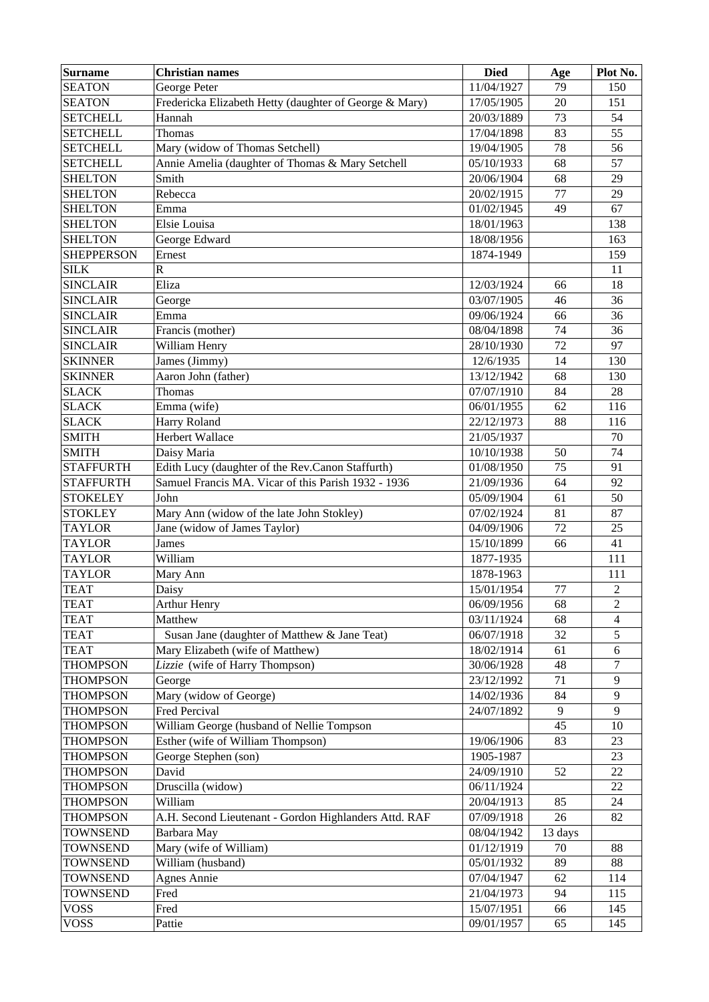| <b>Surname</b>    | <b>Christian names</b>                                 | <b>Died</b> | Age     | Plot No.       |
|-------------------|--------------------------------------------------------|-------------|---------|----------------|
| <b>SEATON</b>     | George Peter                                           | 11/04/1927  | 79      | 150            |
| <b>SEATON</b>     | Fredericka Elizabeth Hetty (daughter of George & Mary) | 17/05/1905  | 20      | 151            |
| <b>SETCHELL</b>   | Hannah                                                 | 20/03/1889  | 73      | 54             |
| <b>SETCHELL</b>   | Thomas                                                 | 17/04/1898  | 83      | 55             |
| <b>SETCHELL</b>   | Mary (widow of Thomas Setchell)                        | 19/04/1905  | 78      | 56             |
| <b>SETCHELL</b>   | Annie Amelia (daughter of Thomas & Mary Setchell       | 05/10/1933  | 68      | 57             |
| <b>SHELTON</b>    | Smith                                                  | 20/06/1904  | 68      | 29             |
| <b>SHELTON</b>    | Rebecca                                                | 20/02/1915  | 77      | 29             |
| <b>SHELTON</b>    | Emma                                                   | 01/02/1945  | 49      | 67             |
| <b>SHELTON</b>    | Elsie Louisa                                           | 18/01/1963  |         | 138            |
| <b>SHELTON</b>    | George Edward                                          | 18/08/1956  |         | 163            |
| <b>SHEPPERSON</b> | Ernest                                                 | 1874-1949   |         | 159            |
| <b>SILK</b>       | $\overline{R}$                                         |             |         | 11             |
| <b>SINCLAIR</b>   | Eliza                                                  | 12/03/1924  | 66      | 18             |
| <b>SINCLAIR</b>   | George                                                 | 03/07/1905  | 46      | 36             |
| <b>SINCLAIR</b>   | Emma                                                   | 09/06/1924  | 66      | 36             |
| <b>SINCLAIR</b>   | Francis (mother)                                       | 08/04/1898  | 74      | 36             |
| <b>SINCLAIR</b>   | William Henry                                          | 28/10/1930  | 72      | 97             |
| <b>SKINNER</b>    | James (Jimmy)                                          | 12/6/1935   | 14      | 130            |
| <b>SKINNER</b>    | Aaron John (father)                                    | 13/12/1942  | 68      | 130            |
| <b>SLACK</b>      | Thomas                                                 | 07/07/1910  | 84      | 28             |
| <b>SLACK</b>      | Emma (wife)                                            | 06/01/1955  | 62      | 116            |
| <b>SLACK</b>      | Harry Roland                                           | 22/12/1973  | 88      | 116            |
| <b>SMITH</b>      | <b>Herbert Wallace</b>                                 | 21/05/1937  |         | 70             |
| <b>SMITH</b>      | Daisy Maria                                            | 10/10/1938  | 50      | 74             |
| <b>STAFFURTH</b>  | Edith Lucy (daughter of the Rev.Canon Staffurth)       | 01/08/1950  | 75      | 91             |
| <b>STAFFURTH</b>  | Samuel Francis MA. Vicar of this Parish 1932 - 1936    | 21/09/1936  | 64      | 92             |
| <b>STOKELEY</b>   | John                                                   | 05/09/1904  | 61      | 50             |
| <b>STOKLEY</b>    | Mary Ann (widow of the late John Stokley)              | 07/02/1924  | 81      | 87             |
| <b>TAYLOR</b>     | Jane (widow of James Taylor)                           | 04/09/1906  | 72      | 25             |
| <b>TAYLOR</b>     | <b>James</b>                                           | 15/10/1899  | 66      | 41             |
| <b>TAYLOR</b>     | William                                                | 1877-1935   |         | 111            |
| <b>TAYLOR</b>     | Mary Ann                                               | 1878-1963   |         | 111            |
| <b>TEAT</b>       | Daisy                                                  | 15/01/1954  | 77      | $\overline{c}$ |
| <b>TEAT</b>       | <b>Arthur Henry</b>                                    | 06/09/1956  | 68      | 2              |
| <b>TEAT</b>       | Matthew                                                | 03/11/1924  | 68      | 4              |
| <b>TEAT</b>       | Susan Jane (daughter of Matthew & Jane Teat)           | 06/07/1918  | 32      | 5              |
| <b>TEAT</b>       | Mary Elizabeth (wife of Matthew)                       | 18/02/1914  | 61      | 6              |
| <b>THOMPSON</b>   | Lizzie (wife of Harry Thompson)                        | 30/06/1928  | 48      | 7              |
| <b>THOMPSON</b>   | George                                                 | 23/12/1992  | 71      | 9              |
| <b>THOMPSON</b>   | Mary (widow of George)                                 | 14/02/1936  | 84      | 9              |
| <b>THOMPSON</b>   | Fred Percival                                          | 24/07/1892  | 9       | 9              |
| <b>THOMPSON</b>   | William George (husband of Nellie Tompson              |             | 45      | 10             |
| <b>THOMPSON</b>   | Esther (wife of William Thompson)                      | 19/06/1906  | 83      | 23             |
| <b>THOMPSON</b>   | George Stephen (son)                                   | 1905-1987   |         | 23             |
| <b>THOMPSON</b>   | David                                                  | 24/09/1910  | 52      | 22             |
| THOMPSON          | Druscilla (widow)                                      | 06/11/1924  |         | 22             |
| <b>THOMPSON</b>   | William                                                | 20/04/1913  | 85      | 24             |
| <b>THOMPSON</b>   | A.H. Second Lieutenant - Gordon Highlanders Attd. RAF  | 07/09/1918  | 26      | 82             |
| <b>TOWNSEND</b>   | Barbara May                                            | 08/04/1942  | 13 days |                |
| <b>TOWNSEND</b>   | Mary (wife of William)                                 | 01/12/1919  | 70      | 88             |
| <b>TOWNSEND</b>   | William (husband)                                      | 05/01/1932  | 89      | 88             |
| <b>TOWNSEND</b>   | <b>Agnes Annie</b>                                     | 07/04/1947  | 62      | 114            |
| <b>TOWNSEND</b>   | Fred                                                   | 21/04/1973  | 94      | 115            |
| <b>VOSS</b>       | Fred                                                   | 15/07/1951  | 66      | 145            |
| <b>VOSS</b>       | Pattie                                                 | 09/01/1957  | 65      | 145            |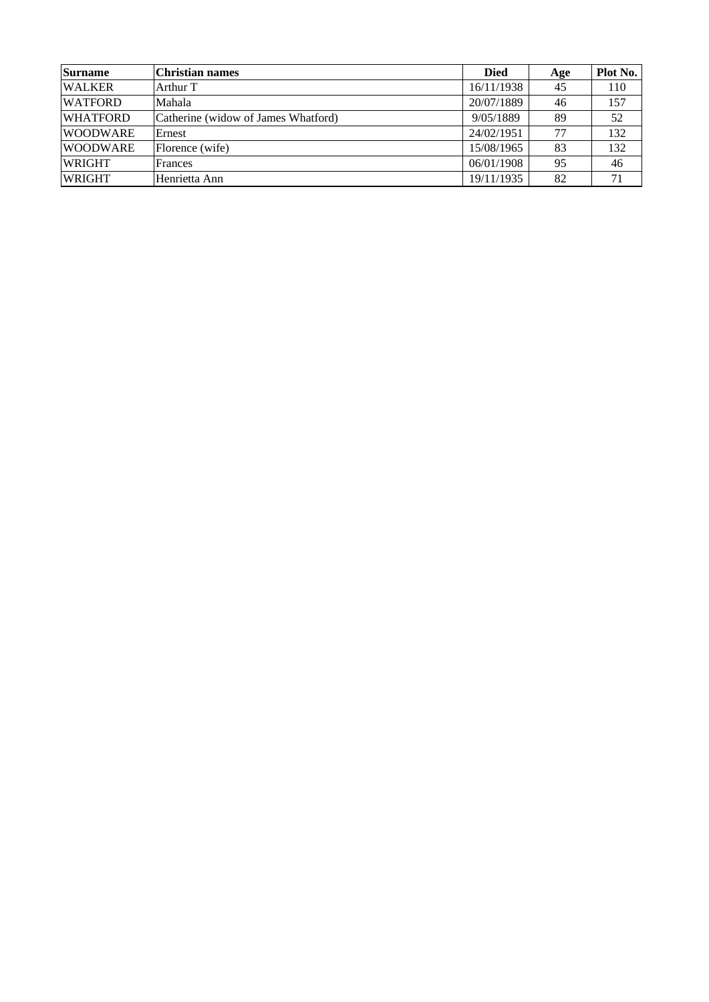| <b>Surname</b>  | <b>Christian names</b>              | <b>Died</b> | Age | Plot No. |
|-----------------|-------------------------------------|-------------|-----|----------|
| <b>WALKER</b>   | Arthur T                            | 16/11/1938  | 45  | 110      |
| <b>WATFORD</b>  | Mahala                              | 20/07/1889  | 46  | 157      |
| <b>WHATFORD</b> | Catherine (widow of James Whatford) | 9/05/1889   | 89  | 52       |
| <b>WOODWARE</b> | Ernest                              | 24/02/1951  | 77  | 132      |
| <b>WOODWARE</b> | Florence (wife)                     | 15/08/1965  | 83  | 132      |
| <b>WRIGHT</b>   | Frances                             | 06/01/1908  | 95  | 46       |
| <b>WRIGHT</b>   | Henrietta Ann                       | 19/11/1935  | 82  | 71       |